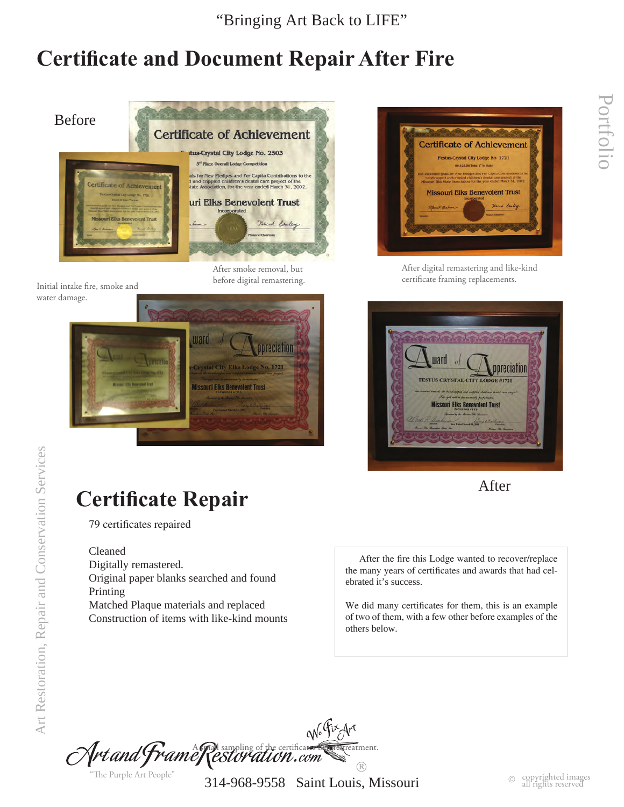"Bringing Art Back to LIFE"

## **Certificate and Document Repair After Fire**



water damage.

After smoke removal, but before digital remastering.





After digital remastering and like-kind certificate framing replacements. Initial intake fire, smoke and





# **Certificate Repair**

79 certificates repaired

Cleaned

Digitally remastered. Original paper blanks searched and found Printing Matched Plaque materials and replaced Construction of items with like-kind mounts

 After the fire this Lodge wanted to recover/replace the many years of certificates and awards that had celebrated it's success.

We did many certificates for them, this is an example of two of them, with a few other before examples of the others below.

No Fix drt  $\mathcal A$ rt and  $\mathcal F$ rame $\mathcal R$ estor ation.com  $\circledR$ "The Purple Art People"